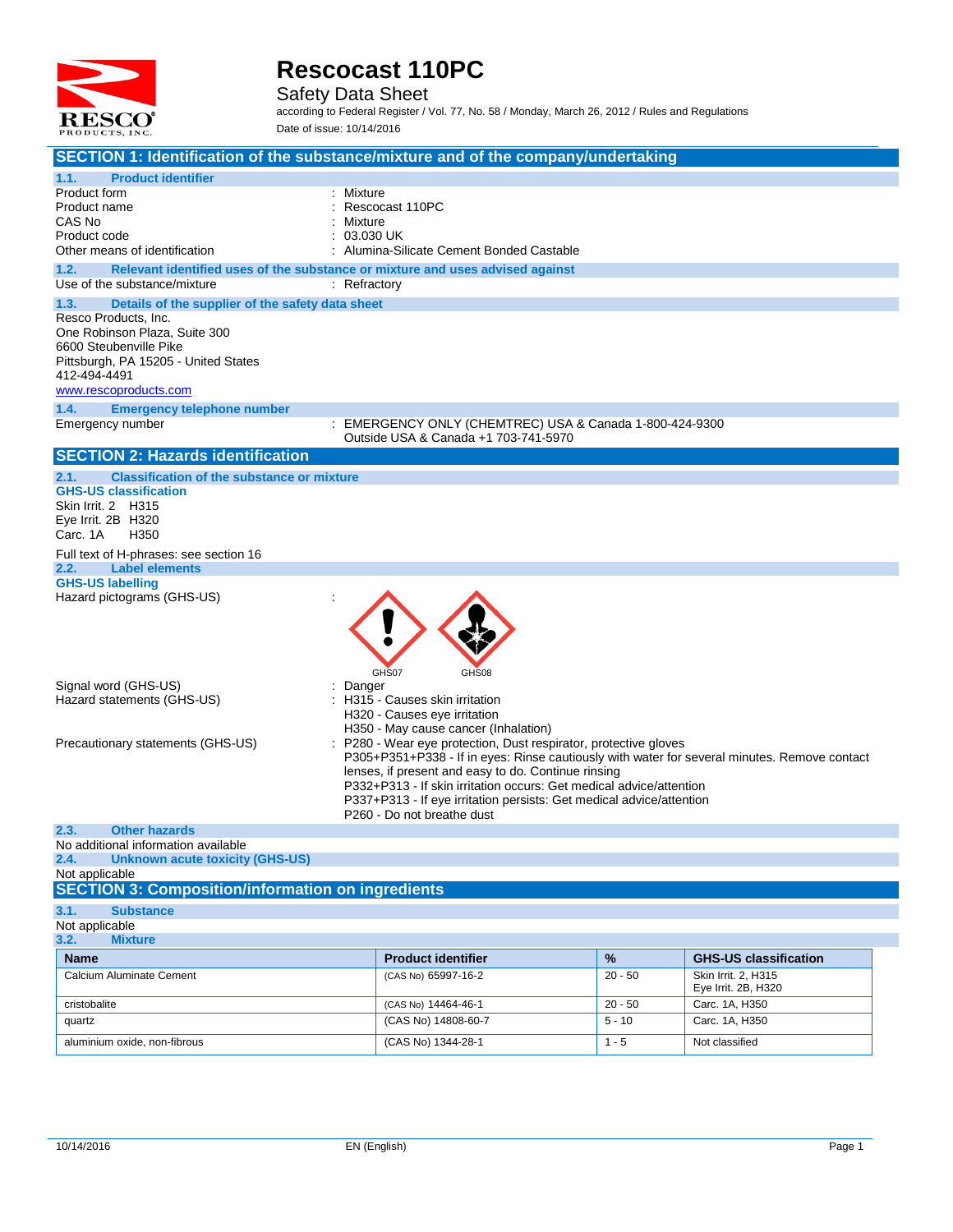

Safety Data Sheet

| SECTION 1: Identification of the substance/mixture and of the company/undertaking                                     |                                                                                                    |           |                                            |
|-----------------------------------------------------------------------------------------------------------------------|----------------------------------------------------------------------------------------------------|-----------|--------------------------------------------|
| <b>Product identifier</b><br>1.1.                                                                                     |                                                                                                    |           |                                            |
| Product form                                                                                                          | Mixture                                                                                            |           |                                            |
| Product name                                                                                                          | Rescocast 110PC                                                                                    |           |                                            |
| CAS No                                                                                                                | Mixture<br>03.030 UK                                                                               |           |                                            |
| Product code<br>Other means of identification                                                                         | Alumina-Silicate Cement Bonded Castable                                                            |           |                                            |
|                                                                                                                       |                                                                                                    |           |                                            |
| 1.2.<br>Relevant identified uses of the substance or mixture and uses advised against<br>Use of the substance/mixture | : Refractory                                                                                       |           |                                            |
| 1.3.                                                                                                                  |                                                                                                    |           |                                            |
| Details of the supplier of the safety data sheet<br>Resco Products, Inc.                                              |                                                                                                    |           |                                            |
| One Robinson Plaza, Suite 300                                                                                         |                                                                                                    |           |                                            |
| 6600 Steubenville Pike                                                                                                |                                                                                                    |           |                                            |
| Pittsburgh, PA 15205 - United States                                                                                  |                                                                                                    |           |                                            |
| 412-494-4491                                                                                                          |                                                                                                    |           |                                            |
| www.rescoproducts.com                                                                                                 |                                                                                                    |           |                                            |
| 1.4.<br><b>Emergency telephone number</b>                                                                             |                                                                                                    |           |                                            |
| Emergency number                                                                                                      | : EMERGENCY ONLY (CHEMTREC) USA & Canada 1-800-424-9300                                            |           |                                            |
|                                                                                                                       | Outside USA & Canada +1 703-741-5970                                                               |           |                                            |
| <b>SECTION 2: Hazards identification</b>                                                                              |                                                                                                    |           |                                            |
| <b>Classification of the substance or mixture</b><br>2.1.                                                             |                                                                                                    |           |                                            |
| <b>GHS-US classification</b>                                                                                          |                                                                                                    |           |                                            |
| Skin Irrit. 2 H315<br>Eye Irrit. 2B H320                                                                              |                                                                                                    |           |                                            |
| Carc. 1A<br>H <sub>350</sub>                                                                                          |                                                                                                    |           |                                            |
| Full text of H-phrases: see section 16                                                                                |                                                                                                    |           |                                            |
| <b>Label elements</b><br>2.2.                                                                                         |                                                                                                    |           |                                            |
| <b>GHS-US labelling</b>                                                                                               |                                                                                                    |           |                                            |
| Hazard pictograms (GHS-US)                                                                                            |                                                                                                    |           |                                            |
|                                                                                                                       |                                                                                                    |           |                                            |
|                                                                                                                       |                                                                                                    |           |                                            |
|                                                                                                                       |                                                                                                    |           |                                            |
|                                                                                                                       |                                                                                                    |           |                                            |
| Signal word (GHS-US)                                                                                                  | GHS07<br>GHS08<br>Danger                                                                           |           |                                            |
| Hazard statements (GHS-US)                                                                                            | H315 - Causes skin irritation                                                                      |           |                                            |
|                                                                                                                       | H320 - Causes eye irritation                                                                       |           |                                            |
|                                                                                                                       | H350 - May cause cancer (Inhalation)                                                               |           |                                            |
| Precautionary statements (GHS-US)                                                                                     | P280 - Wear eye protection, Dust respirator, protective gloves                                     |           |                                            |
|                                                                                                                       | P305+P351+P338 - If in eyes: Rinse cautiously with water for several minutes. Remove contact       |           |                                            |
|                                                                                                                       | lenses, if present and easy to do. Continue rinsing                                                |           |                                            |
|                                                                                                                       | P332+P313 - If skin irritation occurs: Get medical advice/attention                                |           |                                            |
|                                                                                                                       | P337+P313 - If eye irritation persists: Get medical advice/attention<br>P260 - Do not breathe dust |           |                                            |
| 2.3.<br><b>Other hazards</b>                                                                                          |                                                                                                    |           |                                            |
| No additional information available                                                                                   |                                                                                                    |           |                                            |
| 2.4.<br><b>Unknown acute toxicity (GHS-US)</b>                                                                        |                                                                                                    |           |                                            |
| Not applicable                                                                                                        |                                                                                                    |           |                                            |
| <b>SECTION 3: Composition/information on ingredients</b>                                                              |                                                                                                    |           |                                            |
| 3.1.<br><b>Substance</b>                                                                                              |                                                                                                    |           |                                            |
| Not applicable                                                                                                        |                                                                                                    |           |                                            |
| 3.2.<br><b>Mixture</b>                                                                                                |                                                                                                    |           |                                            |
| <b>Name</b>                                                                                                           | <b>Product identifier</b>                                                                          | %         | <b>GHS-US classification</b>               |
| Calcium Aluminate Cement                                                                                              | (CAS No) 65997-16-2                                                                                | $20 - 50$ | Skin Irrit. 2, H315<br>Eye Irrit. 2B, H320 |
| cristobalite                                                                                                          | (CAS No) 14464-46-1                                                                                | $20 - 50$ | Carc. 1A, H350                             |
| quartz                                                                                                                | (CAS No) 14808-60-7                                                                                | $5 - 10$  | Carc. 1A, H350                             |
| aluminium oxide, non-fibrous                                                                                          | (CAS No) 1344-28-1                                                                                 | $1 - 5$   | Not classified                             |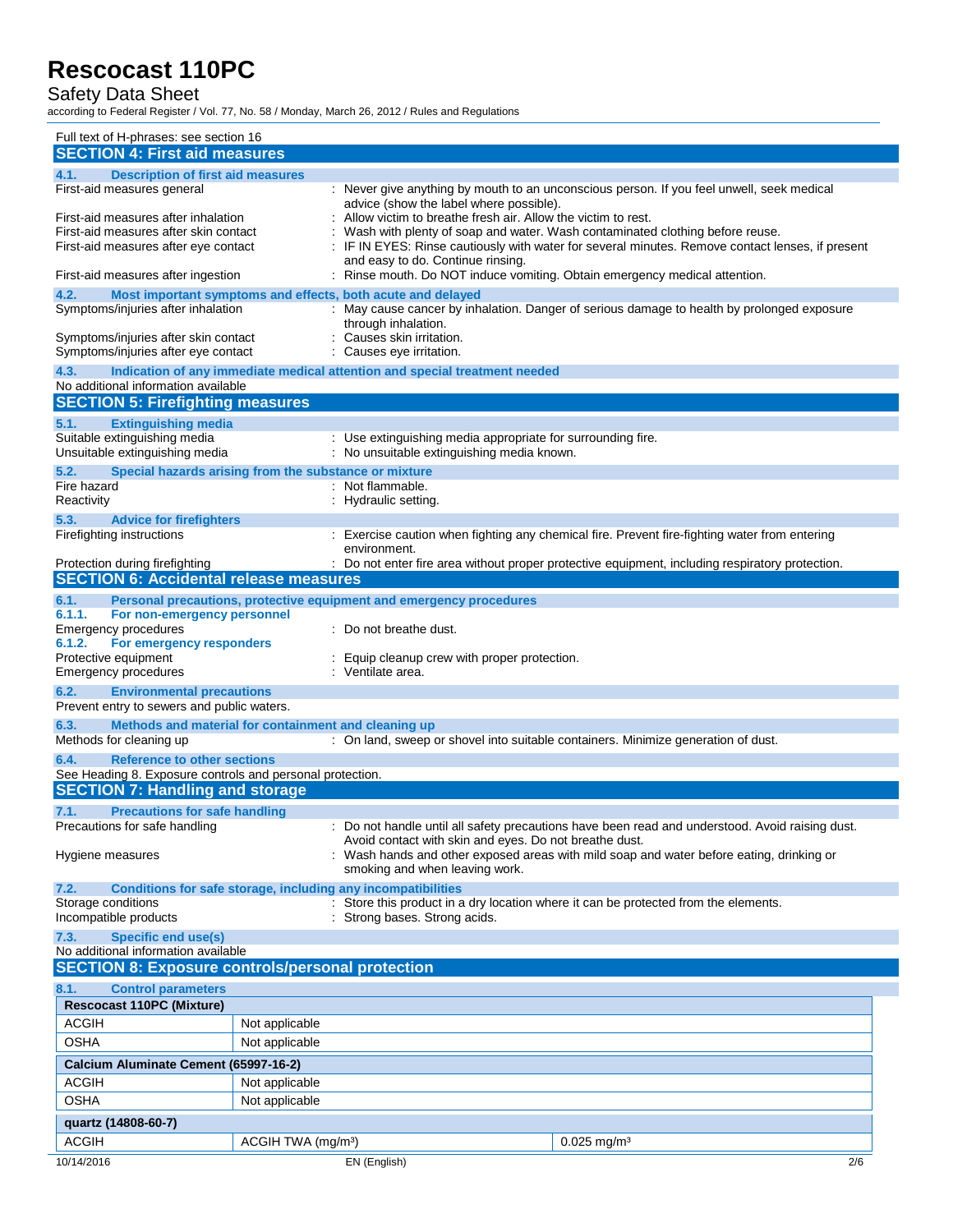#### Safety Data Sheet

| Full text of H-phrases: see section 16                                                                                                                             |                                                                                                                                                                                    |                                                                                                                                                                                                                                                                               |
|--------------------------------------------------------------------------------------------------------------------------------------------------------------------|------------------------------------------------------------------------------------------------------------------------------------------------------------------------------------|-------------------------------------------------------------------------------------------------------------------------------------------------------------------------------------------------------------------------------------------------------------------------------|
| <b>SECTION 4: First aid measures</b>                                                                                                                               |                                                                                                                                                                                    |                                                                                                                                                                                                                                                                               |
| 4.1.<br><b>Description of first aid measures</b>                                                                                                                   |                                                                                                                                                                                    |                                                                                                                                                                                                                                                                               |
| First-aid measures general<br>First-aid measures after inhalation<br>First-aid measures after skin contact<br>First-aid measures after eye contact                 | advice (show the label where possible).<br>Allow victim to breathe fresh air. Allow the victim to rest.<br>and easy to do. Continue rinsing.                                       | : Never give anything by mouth to an unconscious person. If you feel unwell, seek medical<br>Wash with plenty of soap and water. Wash contaminated clothing before reuse.<br>: IF IN EYES: Rinse cautiously with water for several minutes. Remove contact lenses, if present |
| First-aid measures after ingestion                                                                                                                                 | : Rinse mouth. Do NOT induce vomiting. Obtain emergency medical attention.                                                                                                         |                                                                                                                                                                                                                                                                               |
| Most important symptoms and effects, both acute and delayed<br>4.2.<br>Symptoms/injuries after inhalation                                                          | through inhalation.                                                                                                                                                                | : May cause cancer by inhalation. Danger of serious damage to health by prolonged exposure                                                                                                                                                                                    |
| Symptoms/injuries after skin contact<br>Symptoms/injuries after eye contact                                                                                        | Causes skin irritation.<br>Causes eye irritation.                                                                                                                                  |                                                                                                                                                                                                                                                                               |
| 4.3.<br>Indication of any immediate medical attention and special treatment needed<br>No additional information available                                          |                                                                                                                                                                                    |                                                                                                                                                                                                                                                                               |
| <b>SECTION 5: Firefighting measures</b>                                                                                                                            |                                                                                                                                                                                    |                                                                                                                                                                                                                                                                               |
| <b>Extinguishing media</b><br>5.1.<br>Suitable extinguishing media<br>Unsuitable extinguishing media                                                               | : Use extinguishing media appropriate for surrounding fire.<br>: No unsuitable extinguishing media known.                                                                          |                                                                                                                                                                                                                                                                               |
| 5.2.<br>Special hazards arising from the substance or mixture                                                                                                      |                                                                                                                                                                                    |                                                                                                                                                                                                                                                                               |
| Fire hazard<br>Reactivity                                                                                                                                          | : Not flammable.<br>: Hydraulic setting.                                                                                                                                           |                                                                                                                                                                                                                                                                               |
| 5.3.<br><b>Advice for firefighters</b><br>Firefighting instructions                                                                                                |                                                                                                                                                                                    | : Exercise caution when fighting any chemical fire. Prevent fire-fighting water from entering                                                                                                                                                                                 |
|                                                                                                                                                                    | environment.                                                                                                                                                                       |                                                                                                                                                                                                                                                                               |
| Protection during firefighting                                                                                                                                     |                                                                                                                                                                                    | : Do not enter fire area without proper protective equipment, including respiratory protection.                                                                                                                                                                               |
| <b>SECTION 6: Accidental release measures</b>                                                                                                                      |                                                                                                                                                                                    |                                                                                                                                                                                                                                                                               |
| 6.1.<br>Personal precautions, protective equipment and emergency procedures<br>6.1.1.<br>For non-emergency personnel<br>Emergency procedures                       | : Do not breathe dust.                                                                                                                                                             |                                                                                                                                                                                                                                                                               |
| 6.1.2.<br>For emergency responders<br>Protective equipment<br>Emergency procedures                                                                                 | Equip cleanup crew with proper protection.<br>: Ventilate area.                                                                                                                    |                                                                                                                                                                                                                                                                               |
| 6.2.<br><b>Environmental precautions</b><br>Prevent entry to sewers and public waters.                                                                             |                                                                                                                                                                                    |                                                                                                                                                                                                                                                                               |
| Methods and material for containment and cleaning up<br>6.3.<br>Methods for cleaning up                                                                            |                                                                                                                                                                                    | : On land, sweep or shovel into suitable containers. Minimize generation of dust.                                                                                                                                                                                             |
| <b>Reference to other sections</b><br>6.4.                                                                                                                         |                                                                                                                                                                                    |                                                                                                                                                                                                                                                                               |
| See Heading 8. Exposure controls and personal protection.                                                                                                          |                                                                                                                                                                                    |                                                                                                                                                                                                                                                                               |
| <b>SECTION 7: Handling and storage</b>                                                                                                                             |                                                                                                                                                                                    |                                                                                                                                                                                                                                                                               |
| <b>Precautions for safe handling</b><br>7.1.                                                                                                                       |                                                                                                                                                                                    |                                                                                                                                                                                                                                                                               |
| Precautions for safe handling                                                                                                                                      |                                                                                                                                                                                    | : Do not handle until all safety precautions have been read and understood. Avoid raising dust.                                                                                                                                                                               |
| Hygiene measures                                                                                                                                                   | Avoid contact with skin and eyes. Do not breathe dust.<br>Wash hands and other exposed areas with mild soap and water before eating, drinking or<br>smoking and when leaving work. |                                                                                                                                                                                                                                                                               |
| <b>Conditions for safe storage, including any incompatibilities</b><br>7.2.<br>: Store this product in a dry location where it can be protected from the elements. |                                                                                                                                                                                    |                                                                                                                                                                                                                                                                               |
| Storage conditions<br>Incompatible products                                                                                                                        | Strong bases. Strong acids.                                                                                                                                                        |                                                                                                                                                                                                                                                                               |
| 7.3.<br><b>Specific end use(s)</b><br>No additional information available                                                                                          |                                                                                                                                                                                    |                                                                                                                                                                                                                                                                               |
| <b>SECTION 8: Exposure controls/personal protection</b>                                                                                                            |                                                                                                                                                                                    |                                                                                                                                                                                                                                                                               |
| 8.1.<br><b>Control parameters</b>                                                                                                                                  |                                                                                                                                                                                    |                                                                                                                                                                                                                                                                               |
| <b>Rescocast 110PC (Mixture)</b>                                                                                                                                   |                                                                                                                                                                                    |                                                                                                                                                                                                                                                                               |
| <b>ACGIH</b><br>Not applicable                                                                                                                                     |                                                                                                                                                                                    |                                                                                                                                                                                                                                                                               |
| <b>OSHA</b><br>Not applicable                                                                                                                                      |                                                                                                                                                                                    |                                                                                                                                                                                                                                                                               |
| Calcium Aluminate Cement (65997-16-2)<br><b>ACGIH</b><br>Not applicable                                                                                            |                                                                                                                                                                                    |                                                                                                                                                                                                                                                                               |
| <b>OSHA</b><br>Not applicable                                                                                                                                      |                                                                                                                                                                                    |                                                                                                                                                                                                                                                                               |
| quartz (14808-60-7)                                                                                                                                                |                                                                                                                                                                                    |                                                                                                                                                                                                                                                                               |
| <b>ACGIH</b><br>ACGIH TWA (mg/m <sup>3</sup> )                                                                                                                     |                                                                                                                                                                                    | $0.025$ mg/m <sup>3</sup>                                                                                                                                                                                                                                                     |
| 10/14/2016                                                                                                                                                         | EN (English)                                                                                                                                                                       | 2/6                                                                                                                                                                                                                                                                           |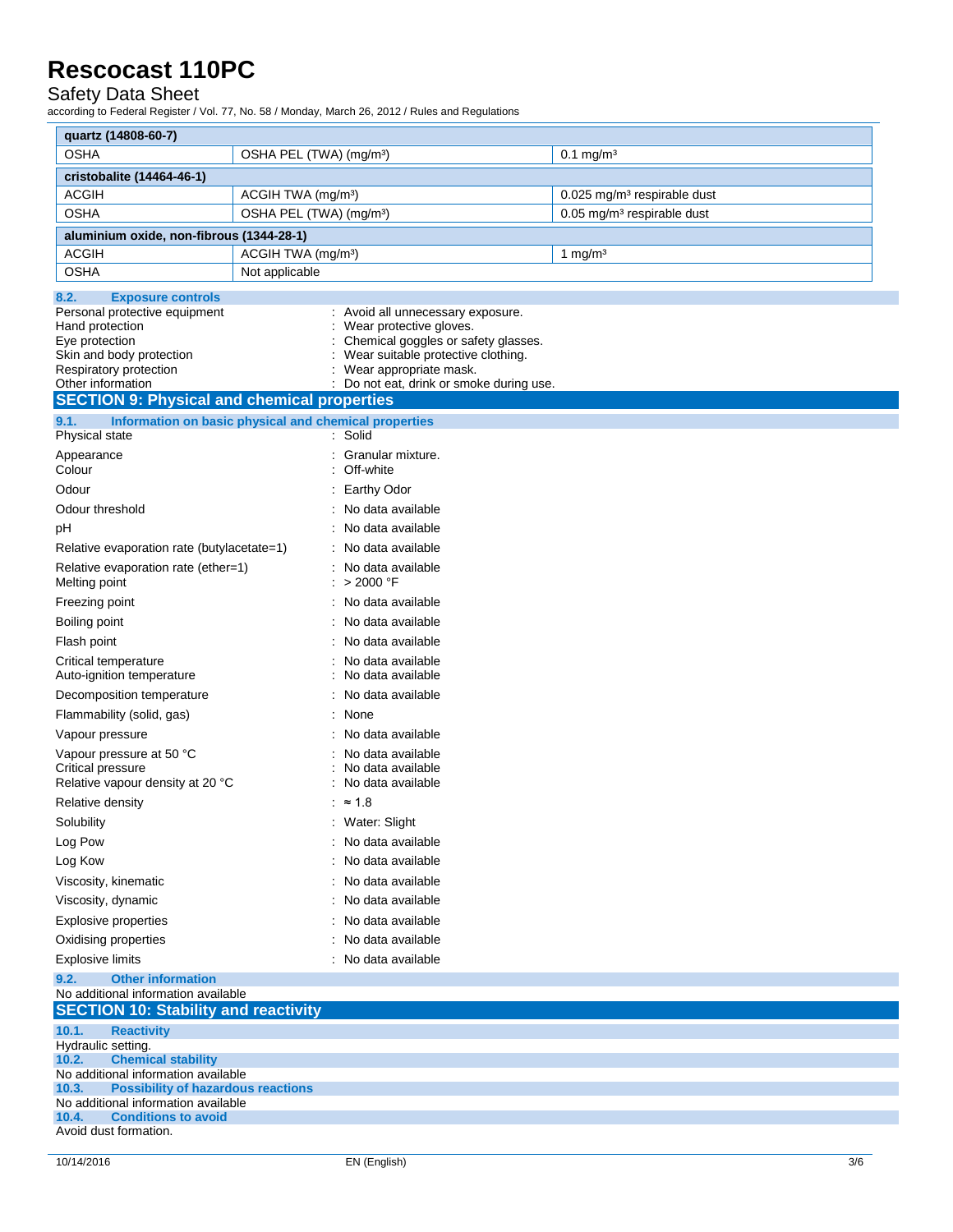#### Safety Data Sheet

| quartz (14808-60-7)                                                                       |                                                                           |                                         |
|-------------------------------------------------------------------------------------------|---------------------------------------------------------------------------|-----------------------------------------|
| <b>OSHA</b>                                                                               | OSHA PEL (TWA) (mg/m <sup>3</sup> )                                       | $0.1 \,\mathrm{mg/m^3}$                 |
| cristobalite (14464-46-1)                                                                 |                                                                           |                                         |
| <b>ACGIH</b>                                                                              | ACGIH TWA (mg/m <sup>3</sup> )                                            | 0.025 mg/m <sup>3</sup> respirable dust |
| <b>OSHA</b><br>OSHA PEL (TWA) (mg/m <sup>3</sup> )                                        |                                                                           | 0.05 mg/m <sup>3</sup> respirable dust  |
| aluminium oxide, non-fibrous (1344-28-1)                                                  |                                                                           |                                         |
| <b>ACGIH</b>                                                                              | ACGIH TWA (mg/m <sup>3</sup> )                                            | 1 mg/m <sup>3</sup>                     |
| <b>OSHA</b>                                                                               | Not applicable                                                            |                                         |
| <b>Exposure controls</b><br>8.2.                                                          |                                                                           |                                         |
| Personal protective equipment                                                             | : Avoid all unnecessary exposure.                                         |                                         |
| Hand protection                                                                           | Wear protective gloves.                                                   |                                         |
| Eye protection<br>Skin and body protection                                                | Chemical goggles or safety glasses.<br>Wear suitable protective clothing. |                                         |
| Respiratory protection                                                                    | Wear appropriate mask.                                                    |                                         |
| Other information                                                                         | : Do not eat, drink or smoke during use.                                  |                                         |
| <b>SECTION 9: Physical and chemical properties</b>                                        |                                                                           |                                         |
| 9.1.                                                                                      | Information on basic physical and chemical properties                     |                                         |
| Physical state                                                                            | : Solid                                                                   |                                         |
| Appearance<br>Colour                                                                      | : Granular mixture.<br>: Off-white                                        |                                         |
| Odour                                                                                     | : Earthy Odor                                                             |                                         |
| Odour threshold                                                                           | : No data available                                                       |                                         |
| рH                                                                                        | : No data available                                                       |                                         |
| Relative evaporation rate (butylacetate=1)                                                | : No data available                                                       |                                         |
| Relative evaporation rate (ether=1)                                                       | : No data available                                                       |                                         |
| Melting point                                                                             | : > 2000 °F                                                               |                                         |
| Freezing point                                                                            | : No data available                                                       |                                         |
| Boiling point                                                                             | No data available                                                         |                                         |
| Flash point                                                                               | No data available                                                         |                                         |
| Critical temperature                                                                      | No data available                                                         |                                         |
| Auto-ignition temperature                                                                 | No data available                                                         |                                         |
| Decomposition temperature                                                                 | No data available                                                         |                                         |
| Flammability (solid, gas)                                                                 | None                                                                      |                                         |
| Vapour pressure                                                                           | No data available                                                         |                                         |
| Vapour pressure at 50 °C<br>Critical pressure                                             | No data available<br>No data available                                    |                                         |
| Relative vapour density at 20 °C                                                          | No data available                                                         |                                         |
| Relative density                                                                          | : ≈ 1.8                                                                   |                                         |
| Solubility                                                                                | : Water: Slight<br>: No data available                                    |                                         |
| Log Pow                                                                                   | : No data available                                                       |                                         |
| Log Kow                                                                                   |                                                                           |                                         |
| Viscosity, kinematic                                                                      | : No data available                                                       |                                         |
| Viscosity, dynamic                                                                        | : No data available                                                       |                                         |
| <b>Explosive properties</b>                                                               | : No data available                                                       |                                         |
| Oxidising properties                                                                      | No data available                                                         |                                         |
| <b>Explosive limits</b>                                                                   | : No data available                                                       |                                         |
| <b>Other information</b><br>9.2.<br>No additional information available                   |                                                                           |                                         |
| <b>SECTION 10: Stability and reactivity</b>                                               |                                                                           |                                         |
| 10.1.<br><b>Reactivity</b>                                                                |                                                                           |                                         |
| Hydraulic setting.                                                                        |                                                                           |                                         |
| 10.2.<br><b>Chemical stability</b>                                                        |                                                                           |                                         |
| No additional information available<br><b>Possibility of hazardous reactions</b><br>10.3. |                                                                           |                                         |
| No additional information available                                                       |                                                                           |                                         |
| <b>Conditions to avoid</b><br>10.4.                                                       |                                                                           |                                         |
| Avoid dust formation.                                                                     |                                                                           |                                         |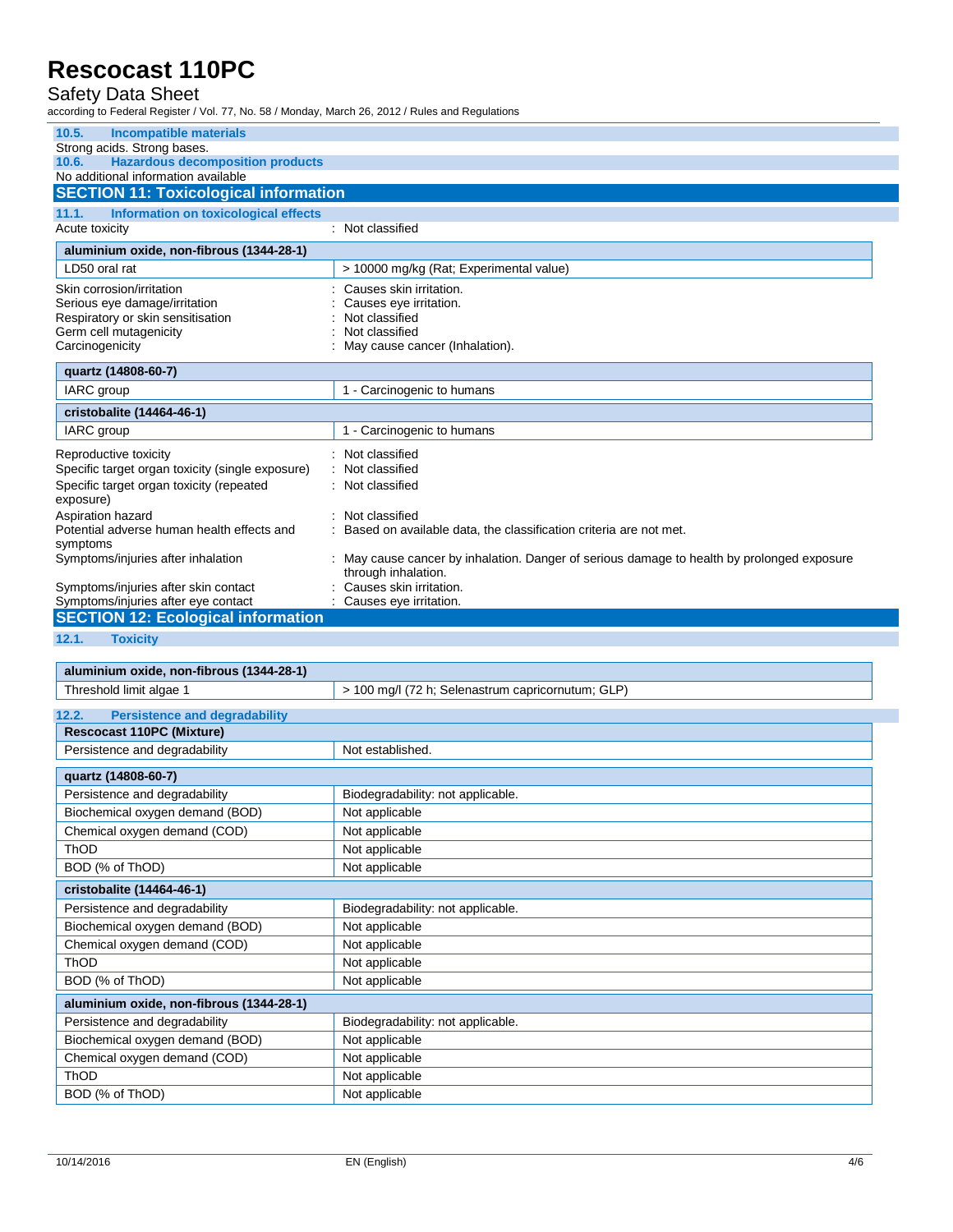#### Safety Data Sheet

| <b>Incompatible materials</b><br>10.5.                                                  |                                                                                            |
|-----------------------------------------------------------------------------------------|--------------------------------------------------------------------------------------------|
| Strong acids. Strong bases.                                                             |                                                                                            |
| <b>Hazardous decomposition products</b><br>10.6.<br>No additional information available |                                                                                            |
| <b>SECTION 11: Toxicological information</b>                                            |                                                                                            |
| 11.1.<br>Information on toxicological effects                                           |                                                                                            |
| Acute toxicity                                                                          | : Not classified                                                                           |
| aluminium oxide, non-fibrous (1344-28-1)                                                |                                                                                            |
| LD50 oral rat                                                                           | > 10000 mg/kg (Rat; Experimental value)                                                    |
| Skin corrosion/irritation                                                               | Causes skin irritation.                                                                    |
| Serious eye damage/irritation                                                           | Causes eye irritation.                                                                     |
| Respiratory or skin sensitisation<br>Germ cell mutagenicity                             | Not classified<br>Not classified                                                           |
| Carcinogenicity                                                                         | May cause cancer (Inhalation).                                                             |
|                                                                                         |                                                                                            |
| quartz (14808-60-7)                                                                     |                                                                                            |
| IARC group                                                                              | 1 - Carcinogenic to humans                                                                 |
| cristobalite (14464-46-1)                                                               |                                                                                            |
| IARC group                                                                              | 1 - Carcinogenic to humans                                                                 |
| Reproductive toxicity                                                                   | : Not classified                                                                           |
| Specific target organ toxicity (single exposure)                                        | Not classified                                                                             |
| Specific target organ toxicity (repeated<br>exposure)                                   | : Not classified                                                                           |
| Aspiration hazard                                                                       | : Not classified                                                                           |
| Potential adverse human health effects and                                              | : Based on available data, the classification criteria are not met.                        |
| symptoms<br>Symptoms/injuries after inhalation                                          | : May cause cancer by inhalation. Danger of serious damage to health by prolonged exposure |
|                                                                                         | through inhalation.                                                                        |
| Symptoms/injuries after skin contact                                                    | Causes skin irritation.                                                                    |
| Symptoms/injuries after eye contact                                                     | Causes eye irritation.                                                                     |
| <b>SECTION 12: Ecological information</b>                                               |                                                                                            |
| 12.1.<br><b>Toxicity</b>                                                                |                                                                                            |
|                                                                                         |                                                                                            |
| aluminium oxide, non-fibrous (1344-28-1)                                                |                                                                                            |
| Threshold limit algae 1                                                                 | > 100 mg/l (72 h; Selenastrum capricornutum; GLP)                                          |
| 12.2.<br><b>Persistence and degradability</b>                                           |                                                                                            |
| <b>Rescocast 110PC (Mixture)</b>                                                        |                                                                                            |
| Persistence and degradability                                                           | Not established                                                                            |

| Persistence and degradability            | Not established.                  |  |
|------------------------------------------|-----------------------------------|--|
| quartz (14808-60-7)                      |                                   |  |
| Persistence and degradability            | Biodegradability: not applicable. |  |
| Biochemical oxygen demand (BOD)          | Not applicable                    |  |
| Chemical oxygen demand (COD)             | Not applicable                    |  |
| ThOD                                     | Not applicable                    |  |
| BOD (% of ThOD)                          | Not applicable                    |  |
| cristobalite (14464-46-1)                |                                   |  |
| Persistence and degradability            | Biodegradability: not applicable. |  |
| Biochemical oxygen demand (BOD)          | Not applicable                    |  |
| Chemical oxygen demand (COD)             | Not applicable                    |  |
| ThOD                                     | Not applicable                    |  |
| BOD (% of ThOD)                          | Not applicable                    |  |
| aluminium oxide, non-fibrous (1344-28-1) |                                   |  |
| Persistence and degradability            | Biodegradability: not applicable. |  |
| Biochemical oxygen demand (BOD)          | Not applicable                    |  |
| Chemical oxygen demand (COD)             | Not applicable                    |  |
| ThOD                                     | Not applicable                    |  |
| BOD (% of ThOD)                          | Not applicable                    |  |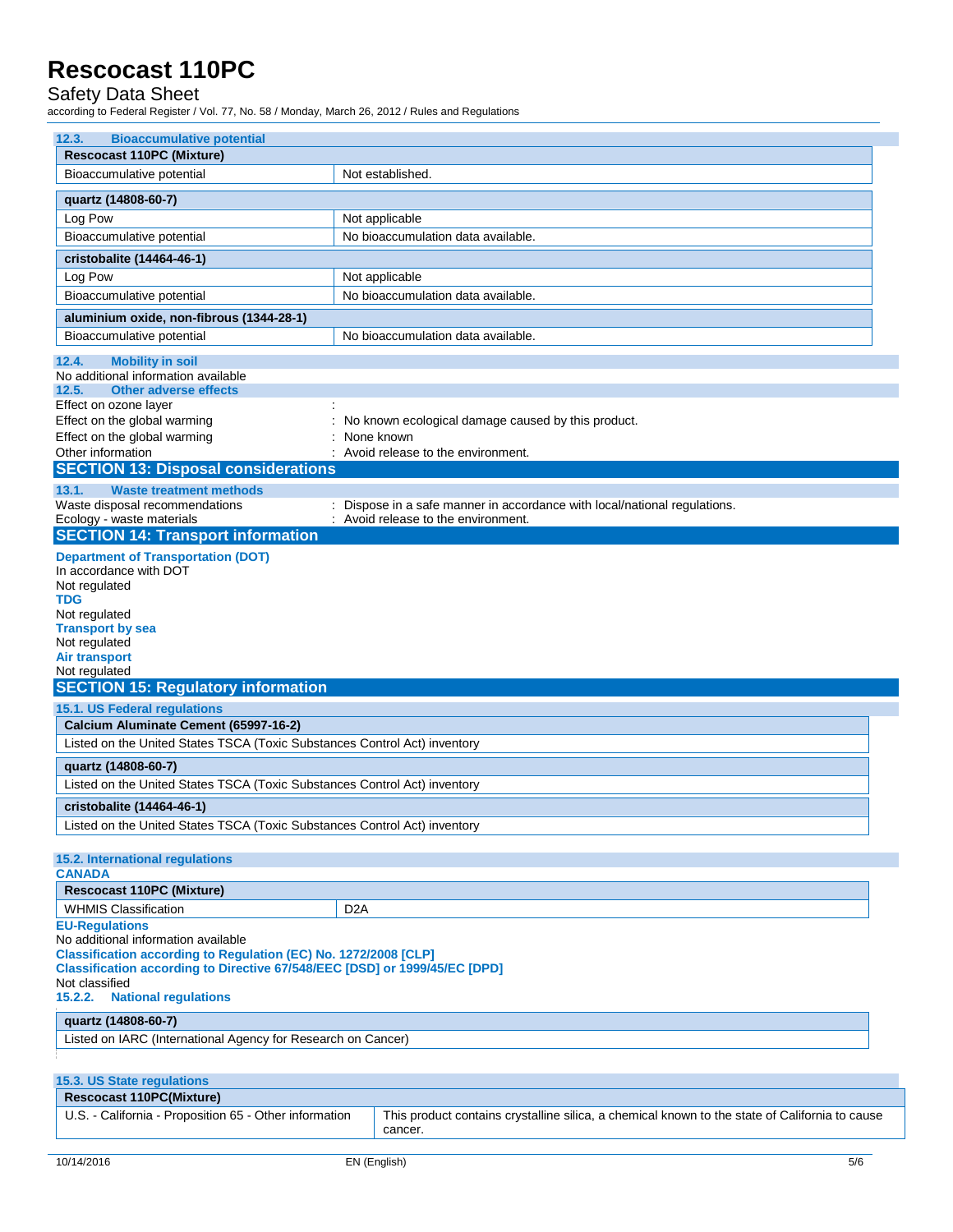### Safety Data Sheet

| 12.3.<br><b>Bioaccumulative potential</b>                                  |                                                                                                           |  |  |
|----------------------------------------------------------------------------|-----------------------------------------------------------------------------------------------------------|--|--|
| <b>Rescocast 110PC (Mixture)</b>                                           |                                                                                                           |  |  |
| Bioaccumulative potential                                                  | Not established.                                                                                          |  |  |
| quartz (14808-60-7)                                                        |                                                                                                           |  |  |
| Log Pow                                                                    | Not applicable                                                                                            |  |  |
| Bioaccumulative potential                                                  | No bioaccumulation data available.                                                                        |  |  |
| cristobalite (14464-46-1)                                                  |                                                                                                           |  |  |
| Log Pow                                                                    | Not applicable                                                                                            |  |  |
| Bioaccumulative potential                                                  | No bioaccumulation data available.                                                                        |  |  |
|                                                                            |                                                                                                           |  |  |
| aluminium oxide, non-fibrous (1344-28-1)<br>Bioaccumulative potential      | No bioaccumulation data available.                                                                        |  |  |
| 12.4.<br><b>Mobility in soil</b>                                           |                                                                                                           |  |  |
| No additional information available                                        |                                                                                                           |  |  |
| <b>Other adverse effects</b><br>12.5.<br>Effect on ozone layer             |                                                                                                           |  |  |
| Effect on the global warming                                               | No known ecological damage caused by this product.                                                        |  |  |
| Effect on the global warming                                               | None known                                                                                                |  |  |
| Other information                                                          | Avoid release to the environment.                                                                         |  |  |
| <b>SECTION 13: Disposal considerations</b>                                 |                                                                                                           |  |  |
| 13.1.<br><b>Waste treatment methods</b>                                    |                                                                                                           |  |  |
| Waste disposal recommendations                                             | : Dispose in a safe manner in accordance with local/national regulations.                                 |  |  |
| Ecology - waste materials                                                  | : Avoid release to the environment.                                                                       |  |  |
| <b>SECTION 14: Transport information</b>                                   |                                                                                                           |  |  |
| <b>Department of Transportation (DOT)</b><br>In accordance with DOT        |                                                                                                           |  |  |
| Not regulated                                                              |                                                                                                           |  |  |
| TDG                                                                        |                                                                                                           |  |  |
| Not regulated                                                              |                                                                                                           |  |  |
| <b>Transport by sea</b>                                                    |                                                                                                           |  |  |
|                                                                            |                                                                                                           |  |  |
| Not regulated                                                              |                                                                                                           |  |  |
| <b>Air transport</b><br>Not regulated                                      |                                                                                                           |  |  |
| <b>SECTION 15: Regulatory information</b>                                  |                                                                                                           |  |  |
| 15.1. US Federal regulations                                               |                                                                                                           |  |  |
| Calcium Aluminate Cement (65997-16-2)                                      |                                                                                                           |  |  |
| Listed on the United States TSCA (Toxic Substances Control Act) inventory  |                                                                                                           |  |  |
| quartz (14808-60-7)                                                        |                                                                                                           |  |  |
| Listed on the United States TSCA (Toxic Substances Control Act) inventory  |                                                                                                           |  |  |
| cristobalite (14464-46-1)                                                  |                                                                                                           |  |  |
| Listed on the United States TSCA (Toxic Substances Control Act) inventory  |                                                                                                           |  |  |
|                                                                            |                                                                                                           |  |  |
| <b>15.2. International regulations</b>                                     |                                                                                                           |  |  |
| <b>CANADA</b>                                                              |                                                                                                           |  |  |
| <b>Rescocast 110PC (Mixture)</b>                                           |                                                                                                           |  |  |
| <b>WHMIS Classification</b>                                                | D <sub>2</sub> A                                                                                          |  |  |
| <b>EU-Regulations</b><br>No additional information available               |                                                                                                           |  |  |
| Classification according to Regulation (EC) No. 1272/2008 [CLP]            |                                                                                                           |  |  |
| Classification according to Directive 67/548/EEC [DSD] or 1999/45/EC [DPD] |                                                                                                           |  |  |
| Not classified                                                             |                                                                                                           |  |  |
| 15.2.2.<br><b>National regulations</b>                                     |                                                                                                           |  |  |
| quartz (14808-60-7)                                                        |                                                                                                           |  |  |
| Listed on IARC (International Agency for Research on Cancer)               |                                                                                                           |  |  |
|                                                                            |                                                                                                           |  |  |
| 15.3. US State regulations                                                 |                                                                                                           |  |  |
| <b>Rescocast 110PC(Mixture)</b>                                            |                                                                                                           |  |  |
| U.S. - California - Proposition 65 - Other information                     | This product contains crystalline silica, a chemical known to the state of California to cause<br>cancer. |  |  |